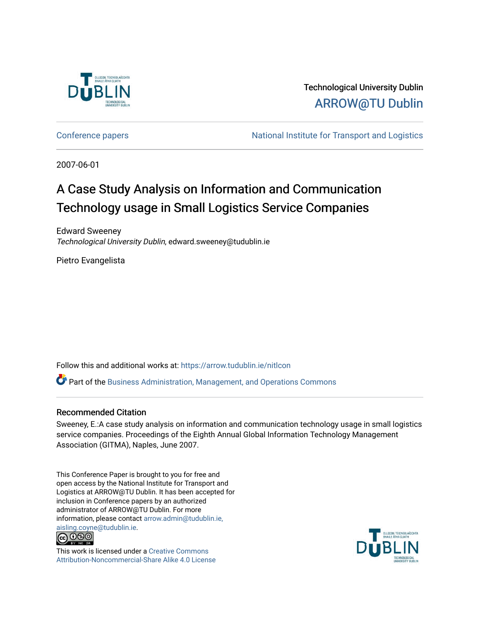

Technological University Dublin [ARROW@TU Dublin](https://arrow.tudublin.ie/) 

[Conference papers](https://arrow.tudublin.ie/nitlcon) **National Institute for Transport and Logistics** Conference papers

2007-06-01

# A Case Study Analysis on Information and Communication Technology usage in Small Logistics Service Companies

Edward Sweeney Technological University Dublin, edward.sweeney@tudublin.ie

Pietro Evangelista

Follow this and additional works at: [https://arrow.tudublin.ie/nitlcon](https://arrow.tudublin.ie/nitlcon?utm_source=arrow.tudublin.ie%2Fnitlcon%2F16&utm_medium=PDF&utm_campaign=PDFCoverPages) 

 $\bullet$  Part of the [Business Administration, Management, and Operations Commons](http://network.bepress.com/hgg/discipline/623?utm_source=arrow.tudublin.ie%2Fnitlcon%2F16&utm_medium=PDF&utm_campaign=PDFCoverPages)

## Recommended Citation

Sweeney, E.:A case study analysis on information and communication technology usage in small logistics service companies. Proceedings of the Eighth Annual Global Information Technology Management Association (GITMA), Naples, June 2007.

This Conference Paper is brought to you for free and open access by the National Institute for Transport and Logistics at ARROW@TU Dublin. It has been accepted for inclusion in Conference papers by an authorized administrator of ARROW@TU Dublin. For more information, please contact [arrow.admin@tudublin.ie,](mailto:arrow.admin@tudublin.ie,%20aisling.coyne@tudublin.ie)  [aisling.coyne@tudublin.ie.](mailto:arrow.admin@tudublin.ie,%20aisling.coyne@tudublin.ie)<br>© 090



This work is licensed under a [Creative Commons](http://creativecommons.org/licenses/by-nc-sa/4.0/) [Attribution-Noncommercial-Share Alike 4.0 License](http://creativecommons.org/licenses/by-nc-sa/4.0/)

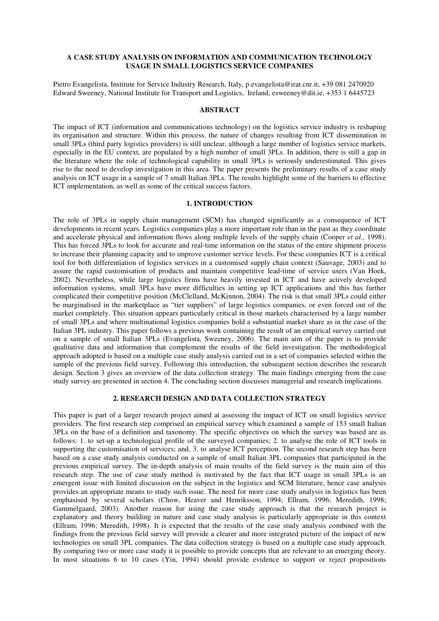## **A CASE STUDY ANALYSIS ON INFORMATION AND COMMUNICATION TECHNOLOGY USAGE IN SMALL LOGISTICS SERVICE COMPANIES**

Pietro Evangelista, Institute for Service Industry Research, Italy, p.evangelista@irat.cnr.it, +39 081 2470920 Edward Sweeney, National Institute for Transport and Logistics, Ireland, esweeney@dit.ie, +353 1 6445723

## **ABSTRACT**

The impact of ICT (information and communications technology) on the logistics service industry is reshaping its organisation and structure. Within this process, the nature of changes resulting from ICT dissemination in small 3PLs (third party logistics providers) is still unclear, although a large number of logistics service markets, especially in the EU context, are populated by a high number of small 3PLs. In addition, there is still a gap in the literature where the role of technological capability in small 3PLs is seriously underestimated. This gives rise to the need to develop investigation in this area. The paper presents the preliminary results of a case study analysis on ICT usage in a sample of 7 small Italian 3PLs. The results highlight some of the barriers to effective ICT implementation, as well as some of the critical success factors.

#### **1. INTRODUCTION**

The role of 3PLs in supply chain management (SCM) has changed significantly as a consequence of ICT developments in recent years. Logistics companies play a more important role than in the past as they coordinate and accelerate physical and information flows along multiple levels of the supply chain (Cooper *et al.*, 1998). This has forced 3PLs to look for accurate and real-time information on the status of the entire shipment process to increase their planning capacity and to improve customer service levels. For these companies ICT is a critical tool for both differentiation of logistics services in a customised supply chain context (Sauvage, 2003) and to assure the rapid customisation of products and maintain competitive lead-time of service users (Van Hoek, 2002). Nevertheless, while large logistics firms have heavily invested in ICT and have actively developed information systems, small 3PLs have more difficulties in setting up ICT applications and this has further complicated their competitive position (McClelland, McKinnon, 2004). The risk is that small 3PLs could either be marginalised in the marketplace as "tier suppliers" of large logistics companies, or even forced out of the market completely. This situation appears particularly critical in those markets characterised by a large number of small 3PLs and where multinational logistics companies hold a substantial market share as in the case of the Italian 3PL industry. This paper follows a previous work containing the result of an empirical survey carried out on a sample of small Italian 3PLs (Evangelista, Sweeney, 2006). The main aim of the paper is to provide qualitative data and information that complement the results of the field investigation. The methodological approach adopted is based on a multiple case study analysis carried out in a set of companies selected within the sample of the previous field survey. Following this introduction, the subsequent section describes the research design. Section 3 gives an overview of the data collection strategy. The main findings emerging from the case study survey are presented in section 4. The concluding section discusses managerial and research implications.

## **2. RESEARCH DESIGN AND DATA COLLECTION STRATEGY**

This paper is part of a larger research project aimed at assessing the impact of ICT on small logistics service providers. The first research step comprised an empirical survey which examined a sample of 153 small Italian 3PLs on the base of a definition and taxonomy. The specific objectives on which the survey was based are as follows: 1. to set-up a technological profile of the surveyed companies; 2. to analyse the role of ICT tools in supporting the customisation of services; and, 3. to analyse ICT perception. The second research step has been based on a case study analysis conducted on a sample of small Italian 3PL companies that participated in the previous empirical survey. The in-depth analysis of main results of the field survey is the main aim of this research step. The use of case study method is motivated by the fact that ICT usage in small 3PLs is an emergent issue with limited discussion on the subject in the logistics and SCM literature, hence case analysis provides an appropriate means to study such issue. The need for more case study analysis in logistics has been emphasised by several scholars (Chow, Heaver and Henriksson, 1994; Ellram, 1996; Meredith, 1998; Gammelgaard, 2003). Another reason for using the case study approach is that the research project is explanatory and theory building in nature and case study analysis is particularly appropriate in this context (Ellram, 1996; Meredith, 1998). It is expected that the results of the case study analysis combined with the findings from the previous field survey will provide a clearer and more integrated picture of the impact of new technologies on small 3PL companies. The data collection strategy is based on a multiple case study approach. By comparing two or more case study it is possible to provide concepts that are relevant to an emerging theory. In most situations 6 to 10 cases (Yin, 1994) should provide evidence to support or reject propositions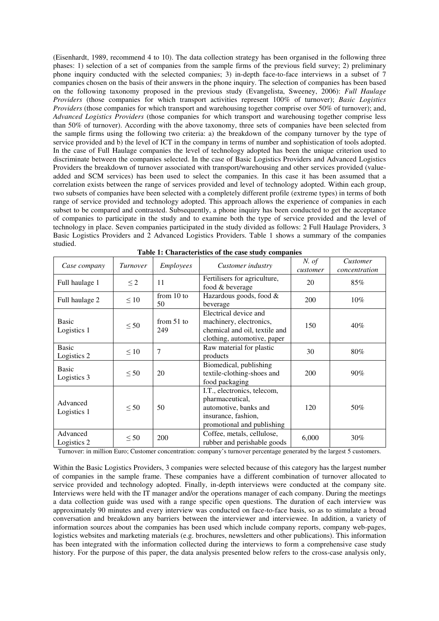(Eisenhardt, 1989, recommend 4 to 10). The data collection strategy has been organised in the following three phases: 1) selection of a set of companies from the sample firms of the previous field survey; 2) preliminary phone inquiry conducted with the selected companies; 3) in-depth face-to-face interviews in a subset of 7 companies chosen on the basis of their answers in the phone inquiry. The selection of companies has been based on the following taxonomy proposed in the previous study (Evangelista, Sweeney, 2006): *Full Haulage Providers* (those companies for which transport activities represent 100% of turnover); *Basic Logistics Providers* (those companies for which transport and warehousing together comprise over 50% of turnover); and, *Advanced Logistics Providers* (those companies for which transport and warehousing together comprise less than 50% of turnover). According with the above taxonomy, three sets of companies have been selected from the sample firms using the following two criteria: a) the breakdown of the company turnover by the type of service provided and b) the level of ICT in the company in terms of number and sophistication of tools adopted. In the case of Full Haulage companies the level of technology adopted has been the unique criterion used to discriminate between the companies selected. In the case of Basic Logistics Providers and Advanced Logistics Providers the breakdown of turnover associated with transport/warehousing and other services provided (valueadded and SCM services) has been used to select the companies. In this case it has been assumed that a correlation exists between the range of services provided and level of technology adopted. Within each group, two subsets of companies have been selected with a completely different profile (extreme types) in terms of both range of service provided and technology adopted. This approach allows the experience of companies in each subset to be compared and contrasted. Subsequently, a phone inquiry has been conducted to get the acceptance of companies to participate in the study and to examine both the type of service provided and the level of technology in place. Seven companies participated in the study divided as follows: 2 Full Haulage Providers, 3 Basic Logistics Providers and 2 Advanced Logistics Providers. Table 1 shows a summary of the companies studied.

| Case company                | Turnover  | Employees           | Customer industry                                                                                                            | $N.$ of<br>customer | Customer<br>concentration |
|-----------------------------|-----------|---------------------|------------------------------------------------------------------------------------------------------------------------------|---------------------|---------------------------|
| Full haulage 1              | $\leq$ 2  | 11                  | Fertilisers for agriculture,<br>food & beverage                                                                              | 20                  | 85%                       |
| Full haulage 2              | $\leq 10$ | from $10$ to<br>50  | Hazardous goods, food $&$<br>beverage                                                                                        | 200                 | $10\%$                    |
| <b>Basic</b><br>Logistics 1 | $\leq 50$ | from $51$ to<br>249 | Electrical device and<br>machinery, electronics,<br>chemical and oil, textile and<br>clothing, automotive, paper             | 150                 | 40%                       |
| <b>Basic</b><br>Logistics 2 | $\leq 10$ | $\overline{7}$      | Raw material for plastic<br>products                                                                                         | 30                  | 80%                       |
| <b>Basic</b><br>Logistics 3 | $\leq 50$ | 20                  | Biomedical, publishing<br>textile-clothing-shoes and<br>food packaging                                                       | 200                 | $90\%$                    |
| Advanced<br>Logistics 1     | $\leq 50$ | 50                  | I.T., electronics, telecom,<br>pharmaceutical,<br>automotive, banks and<br>insurance, fashion,<br>promotional and publishing | 120                 | 50%                       |
| Advanced<br>Logistics 2     | $\leq 50$ | 200                 | Coffee, metals, cellulose,<br>rubber and perishable goods                                                                    | 6,000               | 30%                       |

**Table 1: Characteristics of the case study companies** 

Turnover: in million Euro; Customer concentration: company's turnover percentage generated by the largest 5 customers.

Within the Basic Logistics Providers, 3 companies were selected because of this category has the largest number of companies in the sample frame. These companies have a different combination of turnover allocated to service provided and technology adopted. Finally, in-depth interviews were conducted at the company site. Interviews were held with the IT manager and/or the operations manager of each company. During the meetings a data collection guide was used with a range specific open questions. The duration of each interview was approximately 90 minutes and every interview was conducted on face-to-face basis, so as to stimulate a broad conversation and breakdown any barriers between the interviewer and interviewee. In addition, a variety of information sources about the companies has been used which include company reports, company web-pages, logistics websites and marketing materials (e.g. brochures, newsletters and other publications). This information has been integrated with the information collected during the interviews to form a comprehensive case study history. For the purpose of this paper, the data analysis presented below refers to the cross-case analysis only,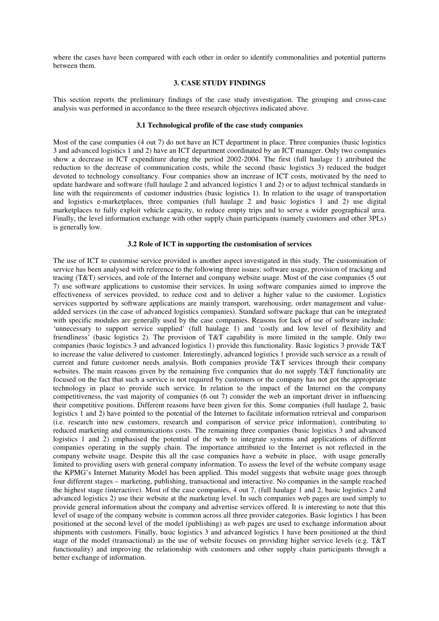where the cases have been compared with each other in order to identify commonalities and potential patterns between them.

#### **3. CASE STUDY FINDINGS**

This section reports the preliminary findings of the case study investigation. The grouping and cross-case analysis was performed in accordance to the three research objectives indicated above.

### **3.1 Technological profile of the case study companies**

Most of the case companies (4 out 7) do not have an ICT department in place. Three companies (basic logistics 3 and advanced logistics 1 and 2) have an ICT department coordinated by an ICT manager. Only two companies show a decrease in ICT expenditure during the period 2002-2004. The first (full haulage 1) attributed the reduction to the decrease of communication costs, while the second (basic logistics 3) reduced the budget devoted to technology consultancy. Four companies show an increase of ICT costs, motivated by the need to update hardware and software (full haulage 2 and advanced logistics 1 and 2) or to adjust technical standards in line with the requirements of customer industries (basic logistics 1). In relation to the usage of transportation and logistics e-marketplaces, three companies (full haulage 2 and basic logistics 1 and 2) use digital marketplaces to fully exploit vehicle capacity, to reduce empty trips and to serve a wider geographical area. Finally, the level information exchange with other supply chain participants (namely customers and other 3PLs) is generally low.

#### **3.2 Role of ICT in supporting the customisation of services**

The use of ICT to customise service provided is another aspect investigated in this study. The customisation of service has been analysed with reference to the following three issues: software usage, provision of tracking and tracing (T&T) services, and role of the Internet and company website usage. Most of the case companies (5 out 7) use software applications to customise their services. In using software companies aimed to improve the effectiveness of services provided, to reduce cost and to deliver a higher value to the customer. Logistics services supported by software applications are mainly transport, warehousing, order management and valueadded services (in the case of advanced logistics companies). Standard software package that can be integrated with specific modules are generally used by the case companies. Reasons for lack of use of software include: 'unnecessary to support service supplied' (full haulage 1) and 'costly and low level of flexibility and friendliness' (basic logistics 2). The provision of T&T capability is more limited in the sample. Only two companies (basic logistics 3 and advanced logistics 1) provide this functionality. Basic logistics 3 provide T&T to increase the value delivered to customer. Interestingly, advanced logistics 1 provide such service as a result of current and future customer needs analysis. Both companies provide T&T services through their company websites. The main reasons given by the remaining five companies that do not supply T&T functionality are focused on the fact that such a service is not required by customers or the company has not got the appropriate technology in place to provide such service. In relation to the impact of the Internet on the company competitiveness, the vast majority of companies (6 out 7) consider the web an important driver in influencing their competitive positions. Different reasons have been given for this. Some companies (full haulage 2, basic logistics 1 and 2) have pointed to the potential of the Internet to facilitate information retrieval and comparison (i.e. research into new customers, research and comparison of service price information), contributing to reduced marketing and communications costs. The remaining three companies (basic logistics 3 and advanced logistics 1 and 2) emphasised the potential of the web to integrate systems and applications of different companies operating in the supply chain. The importance attributed to the Internet is not reflected in the company website usage. Despite this all the case companies have a website in place, with usage generally limited to providing users with general company information. To assess the level of the website company usage the KPMG's Internet Maturity Model has been applied. This model suggests that website usage goes through four different stages – marketing, publishing, transactional and interactive. No companies in the sample reached the highest stage (interactive). Most of the case companies, 4 out 7, (full haulage 1 and 2, basic logistics 2 and advanced logistics 2) use their website at the marketing level. In such companies web pages are used simply to provide general information about the company and advertise services offered. It is interesting to note that this level of usage of the company website is common across all three provider categories. Basic logistics 1 has been positioned at the second level of the model (publishing) as web pages are used to exchange information about shipments with customers. Finally, basic logistics 3 and advanced logistics 1 have been positioned at the third stage of the model (transactional) as the use of website focuses on providing higher service levels (e.g. T&T functionality) and improving the relationship with customers and other supply chain participants through a better exchange of information.